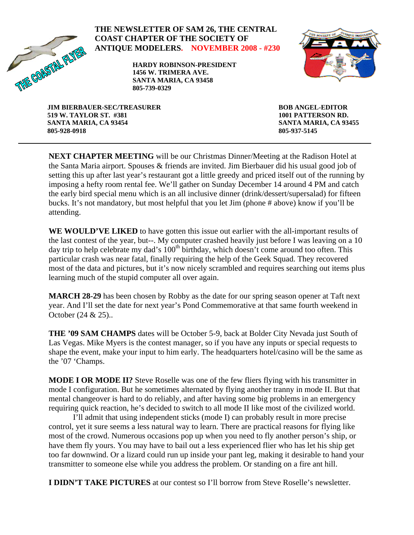

#### **THE NEWSLETTER OF SAM 26, THE CENTRAL COAST CHAPTER OF THE SOCIETY OF ANTIQUE MODELERS. NOVEMBER 2008 - #230**

**HARDY ROBINSON-PRESIDENT 1456 W. TRIMERA AVE. SANTA MARIA, CA 93458 805-739-0329** 



**JIM BIERBAUER-SEC/TREASURER 519 W. TAYLOR ST. #381 SANTA MARIA, CA 93454 805-928-0918** 

**BOB ANGEL-EDITOR 1001 PATTERSON RD. SANTA MARIA, CA 93455 805-937-5145** 

**NEXT CHAPTER MEETING** will be our Christmas Dinner/Meeting at the Radison Hotel at the Santa Maria airport. Spouses & friends are invited. Jim Bierbauer did his usual good job of setting this up after last year's restaurant got a little greedy and priced itself out of the running by imposing a hefty room rental fee. We'll gather on Sunday December 14 around 4 PM and catch the early bird special menu which is an all inclusive dinner (drink/dessert/supersalad) for fifteen bucks. It's not mandatory, but most helpful that you let Jim (phone # above) know if you'll be attending.

WE WOULD'VE LIKED to have gotten this issue out earlier with the all-important results of the last contest of the year, but--. My computer crashed heavily just before I was leaving on a 10 day trip to help celebrate my dad's 100<sup>th</sup> birthday, which doesn't come around too often. This particular crash was near fatal, finally requiring the help of the Geek Squad. They recovered most of the data and pictures, but it's now nicely scrambled and requires searching out items plus learning much of the stupid computer all over again.

**MARCH 28-29** has been chosen by Robby as the date for our spring season opener at Taft next year. And I'll set the date for next year's Pond Commemorative at that same fourth weekend in October (24 & 25)..

**THE '09 SAM CHAMPS** dates will be October 5-9, back at Bolder City Nevada just South of Las Vegas. Mike Myers is the contest manager, so if you have any inputs or special requests to shape the event, make your input to him early. The headquarters hotel/casino will be the same as the '07 'Champs.

**MODE I OR MODE II?** Steve Roselle was one of the few fliers flying with his transmitter in mode I configuration. But he sometimes alternated by flying another tranny in mode II. But that mental changeover is hard to do reliably, and after having some big problems in an emergency requiring quick reaction, he's decided to switch to all mode II like most of the civilized world.

 I'll admit that using independent sticks (mode I) can probably result in more precise control, yet it sure seems a less natural way to learn. There are practical reasons for flying like most of the crowd. Numerous occasions pop up when you need to fly another person's ship, or have them fly yours. You may have to bail out a less experienced flier who has let his ship get too far downwind. Or a lizard could run up inside your pant leg, making it desirable to hand your transmitter to someone else while you address the problem. Or standing on a fire ant hill.

**I DIDN'T TAKE PICTURES** at our contest so I'll borrow from Steve Roselle's newsletter.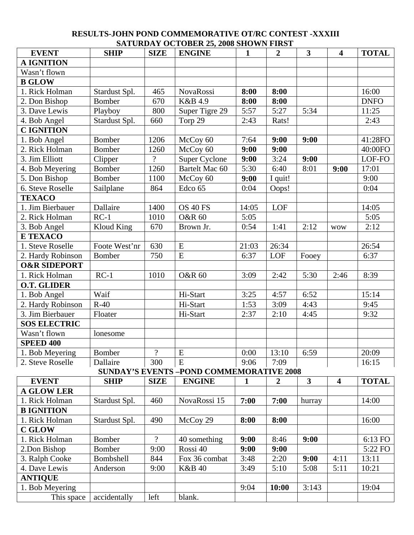#### **RESULTS-JOHN POND COMMEMORATIVE OT/RC CONTEST -XXXIII SATURDAY OCTOBER 25, 2008 SHOWN FIRST**

| <b>EVENT</b>            | <b>SHIP</b>   | <b>SIZE</b>    | <b>ENGINE</b>                                   | $\mathbf{1}$ | $\overline{2}$ | $\mathbf{3}$ | $\overline{\mathbf{4}}$ | <b>TOTAL</b> |
|-------------------------|---------------|----------------|-------------------------------------------------|--------------|----------------|--------------|-------------------------|--------------|
| <b>A IGNITION</b>       |               |                |                                                 |              |                |              |                         |              |
| Wasn't flown            |               |                |                                                 |              |                |              |                         |              |
| <b>B GLOW</b>           |               |                |                                                 |              |                |              |                         |              |
| 1. Rick Holman          | Stardust Spl. | 465            | NovaRossi                                       | 8:00         | 8:00           |              |                         | 16:00        |
| 2. Don Bishop           | Bomber        | 670            | K&B 4.9                                         | 8:00         | 8:00           |              |                         | <b>DNFO</b>  |
| 3. Dave Lewis           | Playboy       | 800            | Super Tigre 29                                  | 5:57         | 5:27           | 5:34         |                         | 11:25        |
| 4. Bob Angel            | Stardust Spl. | 660            | Torp 29                                         | 2:43         | Rats!          |              |                         | 2:43         |
| <b>C IGNITION</b>       |               |                |                                                 |              |                |              |                         |              |
| 1. Bob Angel            | <b>Bomber</b> | 1206           | McCoy 60                                        | 7:64         | 9:00           | 9:00         |                         | 41:28FO      |
| 2. Rick Holman          | Bomber        | 1260           | McCoy 60                                        | 9:00         | 9:00           |              |                         | 40:00FO      |
| 3. Jim Elliott          | Clipper       | $\gamma$       | Super Cyclone                                   | 9:00         | 3:24           | 9:00         |                         | LOF-FO       |
| 4. Bob Meyering         | Bomber        | 1260           | Bartelt Mac 60                                  | 5:30         | 6:40           | 8:01         | 9:00                    | 17:01        |
| 5. Don Bishop           | <b>Bomber</b> | 1100           | McCoy 60                                        | 9:00         | I quit!        |              |                         | 9:00         |
| 6. Steve Roselle        | Sailplane     | 864            | Edco 65                                         | 0:04         | Oops!          |              |                         | 0:04         |
| <b>TEXACO</b>           |               |                |                                                 |              |                |              |                         |              |
| 1. Jim Bierbauer        | Dallaire      | 1400           | <b>OS 40 FS</b>                                 | 14:05        | <b>LOF</b>     |              |                         | 14:05        |
| 2. Rick Holman          | $RC-1$        | 1010           | <b>O&amp;R 60</b>                               | 5:05         |                |              |                         | 5:05         |
| 3. Bob Angel            | Kloud King    | 670            | Brown Jr.                                       | 0:54         | 1:41           | 2:12         | <b>WOW</b>              | 2:12         |
| <b>E TEXACO</b>         |               |                |                                                 |              |                |              |                         |              |
| 1. Steve Roselle        | Foote West'nr | 630            | E                                               | 21:03        | 26:34          |              |                         | 26:54        |
| 2. Hardy Robinson       | <b>Bomber</b> | 750            | $\overline{E}$                                  | 6:37         | LOF            | Fooey        |                         | 6:37         |
| <b>O&amp;R SIDEPORT</b> |               |                |                                                 |              |                |              |                         |              |
| 1. Rick Holman          | $RC-1$        | 1010           | <b>O&amp;R 60</b>                               | 3:09         | 2:42           | 5:30         | 2:46                    | 8:39         |
| <b>O.T. GLIDER</b>      |               |                |                                                 |              |                |              |                         |              |
| 1. Bob Angel            | Waif          |                | Hi-Start                                        | 3:25         | 4:57           | 6:52         |                         | 15:14        |
| 2. Hardy Robinson       | $R-40$        |                | Hi-Start                                        | 1:53         | 3:09           | 4:43         |                         | 9:45         |
| 3. Jim Bierbauer        | Floater       |                | Hi-Start                                        | 2:37         | 2:10           | 4:45         |                         | 9:32         |
| <b>SOS ELECTRIC</b>     |               |                |                                                 |              |                |              |                         |              |
| Wasn't flown            | lonesome      |                |                                                 |              |                |              |                         |              |
| <b>SPEED 400</b>        |               |                |                                                 |              |                |              |                         |              |
| 1. Bob Meyering         | Bomber        | $\gamma$       | E                                               | 0:00         | 13:10          | 6:59         |                         | 20:09        |
| 2. Steve Roselle        | Dallaire      | 300            | E                                               | 9:06         | 7:09           |              |                         | 16:15        |
|                         |               |                | <b>SUNDAY'S EVENTS -POND COMMEMORATIVE 2008</b> |              |                |              |                         |              |
| <b>EVENT</b>            | <b>SHIP</b>   | <b>SIZE</b>    | <b>ENGINE</b>                                   | 1            | $\overline{2}$ | $\mathbf{3}$ | $\overline{\mathbf{4}}$ | <b>TOTAL</b> |
| <b>A GLOW LER</b>       |               |                |                                                 |              |                |              |                         |              |
| 1. Rick Holman          | Stardust Spl. | 460            | NovaRossi 15                                    | 7:00         | 7:00           | hurray       |                         | 14:00        |
| <b>B IGNITION</b>       |               |                |                                                 |              |                |              |                         |              |
| 1. Rick Holman          | Stardust Spl. | 490            | McCoy 29                                        | 8:00         | 8:00           |              |                         | 16:00        |
| <b>C GLOW</b>           |               |                |                                                 |              |                |              |                         |              |
| 1. Rick Holman          | Bomber        | $\overline{?}$ | 40 something                                    | 9:00         | 8:46           | 9:00         |                         | 6:13 FO      |
| 2.Don Bishop            | Bomber        | 9:00           | Rossi 40                                        | 9:00         | 9:00           |              |                         | 5:22 FO      |
| 3. Ralph Cooke          | Bombshell     | 844            | Fox 36 combat                                   | 3:48         | 2:20           | 9:00         | 4:11                    | 13:11        |
| 4. Dave Lewis           | Anderson      | 9:00           | <b>K&amp;B 40</b>                               | 3:49         | 5:10           | 5:08         | 5:11                    | 10:21        |
| <b>ANTIQUE</b>          |               |                |                                                 |              |                |              |                         |              |
| 1. Bob Meyering         |               |                |                                                 | 9:04         | 10:00          | 3:143        |                         | 19:04        |
| This space              | accidentally  | left           | blank.                                          |              |                |              |                         |              |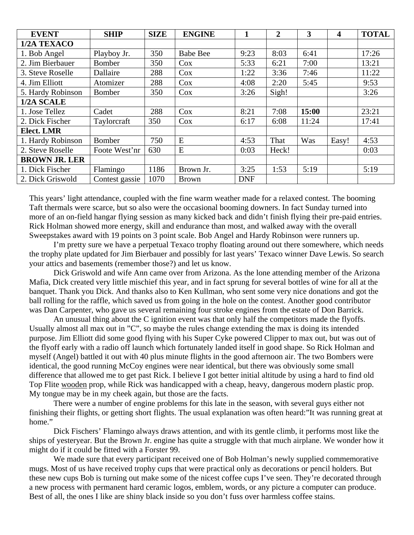| <b>EVENT</b>         | <b>SHIP</b>    | <b>SIZE</b> | <b>ENGINE</b>   | 1          | $\overline{2}$ | 3     | 4     | <b>TOTAL</b> |
|----------------------|----------------|-------------|-----------------|------------|----------------|-------|-------|--------------|
| 1/2A TEXACO          |                |             |                 |            |                |       |       |              |
| 1. Bob Angel         | Playboy Jr.    | 350         | <b>Babe Bee</b> | 9:23       | 8:03           | 6:41  |       | 17:26        |
| 2. Jim Bierbauer     | <b>Bomber</b>  | 350         | Cox             | 5:33       | 6:21           | 7:00  |       | 13:21        |
| 3. Steve Roselle     | Dallaire       | 288         | Cox             | 1:22       | 3:36           | 7:46  |       | 11:22        |
| 4. Jim Elliott       | Atomizer       | 288         | Cox             | 4:08       | 2:20           | 5:45  |       | 9:53         |
| 5. Hardy Robinson    | <b>Bomber</b>  | 350         | Cox             | 3:26       | Sigh!          |       |       | 3:26         |
| 1/2A SCALE           |                |             |                 |            |                |       |       |              |
| 1. Jose Tellez       | Cadet          | 288         | Cox             | 8:21       | 7:08           | 15:00 |       | 23:21        |
| 2. Dick Fischer      | Taylorcraft    | 350         | Cox             | 6:17       | 6:08           | 11:24 |       | 17:41        |
| <b>Elect. LMR</b>    |                |             |                 |            |                |       |       |              |
| 1. Hardy Robinson    | <b>Bomber</b>  | 750         | E               | 4:53       | That           | Was   | Easy! | 4:53         |
| 2. Steve Roselle     | Foote West'nr  | 630         | E               | 0:03       | Heck!          |       |       | 0:03         |
| <b>BROWN JR. LER</b> |                |             |                 |            |                |       |       |              |
| 1. Dick Fischer      | Flamingo       | 1186        | Brown Jr.       | 3:25       | 1:53           | 5:19  |       | 5:19         |
| 2. Dick Griswold     | Contest gassie | 1070        | <b>Brown</b>    | <b>DNF</b> |                |       |       |              |

This years' light attendance, coupled with the fine warm weather made for a relaxed contest. The booming Taft thermals were scarce, but so also were the occasional booming downers. In fact Sunday turned into more of an on-field hangar flying session as many kicked back and didn't finish flying their pre-paid entries. Rick Holman showed more energy, skill and endurance than most, and walked away with the overall Sweepstakes award with 19 points on 3 point scale. Bob Angel and Hardy Robinson were runners up.

 I'm pretty sure we have a perpetual Texaco trophy floating around out there somewhere, which needs the trophy plate updated for Jim Bierbauer and possibly for last years' Texaco winner Dave Lewis. So search your attics and basements (remember those?) and let us know.

 Dick Griswold and wife Ann came over from Arizona. As the lone attending member of the Arizona Mafia, Dick created very little mischief this year, and in fact sprung for several bottles of wine for all at the banquet. Thank you Dick. And thanks also to Ken Kullman, who sent some very nice donations and got the ball rolling for the raffle, which saved us from going in the hole on the contest. Another good contributor was Dan Carpenter, who gave us several remaining four stroke engines from the estate of Don Barrick.

 An unusual thing about the C ignition event was that only half the competitors made the flyoffs. Usually almost all max out in "C", so maybe the rules change extending the max is doing its intended purpose. Jim Elliott did some good flying with his Super Cyke powered Clipper to max out, but was out of the flyoff early with a radio off launch which fortunately landed itself in good shape. So Rick Holman and myself (Angel) battled it out with 40 plus minute flights in the good afternoon air. The two Bombers were identical, the good running McCoy engines were near identical, but there was obviously some small difference that allowed me to get past Rick. I believe I got better initial altitude by using a hard to find old Top Flite wooden prop, while Rick was handicapped with a cheap, heavy, dangerous modern plastic prop. My tongue may be in my cheek again, but those are the facts.

 There were a number of engine problems for this late in the season, with several guys either not finishing their flights, or getting short flights. The usual explanation was often heard:"It was running great at home."

 Dick Fischers' Flamingo always draws attention, and with its gentle climb, it performs most like the ships of yesteryear. But the Brown Jr. engine has quite a struggle with that much airplane. We wonder how it might do if it could be fitted with a Forster 99.

 We made sure that every participant received one of Bob Holman's newly supplied commemorative mugs. Most of us have received trophy cups that were practical only as decorations or pencil holders. But these new cups Bob is turning out make some of the nicest coffee cups I've seen. They're decorated through a new process with permanent hard ceramic logos, emblem, words, or any picture a computer can produce. Best of all, the ones I like are shiny black inside so you don't fuss over harmless coffee stains.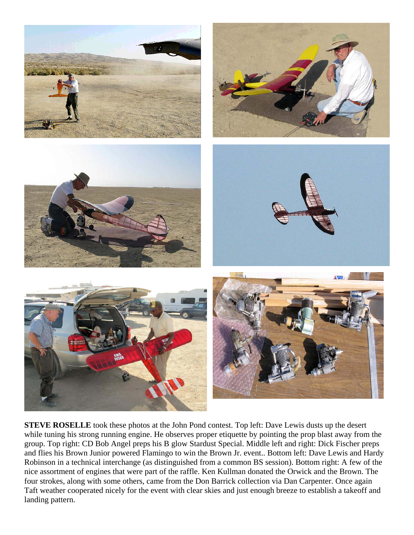

**STEVE ROSELLE** took these photos at the John Pond contest. Top left: Dave Lewis dusts up the desert while tuning his strong running engine. He observes proper etiquette by pointing the prop blast away from the group. Top right: CD Bob Angel preps his B glow Stardust Special. Middle left and right: Dick Fischer preps and flies his Brown Junior powered Flamingo to win the Brown Jr. event.. Bottom left: Dave Lewis and Hardy Robinson in a technical interchange (as distinguished from a common BS session). Bottom right: A few of the nice assortment of engines that were part of the raffle. Ken Kullman donated the Orwick and the Brown. The four strokes, along with some others, came from the Don Barrick collection via Dan Carpenter. Once again Taft weather cooperated nicely for the event with clear skies and just enough breeze to establish a takeoff and landing pattern.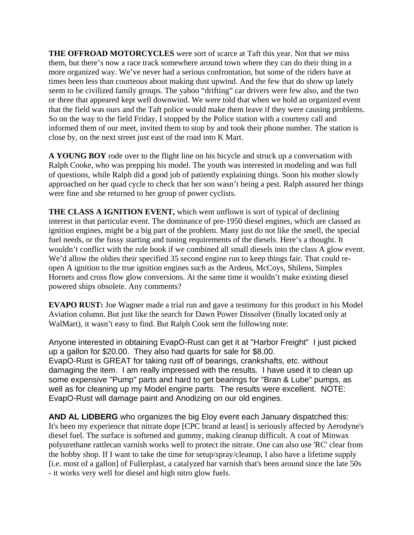**THE OFFROAD MOTORCYCLES** were sort of scarce at Taft this year. Not that we miss them, but there's now a race track somewhere around town where they can do their thing in a more organized way. We've never had a serious confrontation, but some of the riders have at times been less than courteous about making dust upwind. And the few that do show up lately seem to be civilized family groups. The yahoo "drifting" car drivers were few also, and the two or three that appeared kept well downwind. We were told that when we hold an organized event that the field was ours and the Taft police would make them leave if they were causing problems. So on the way to the field Friday, I stopped by the Police station with a courtesy call and informed them of our meet, invited them to stop by and took their phone number. The station is close by, on the next street just east of the road into K Mart.

**A YOUNG BOY** rode over to the flight line on his bicycle and struck up a conversation with Ralph Cooke, who was prepping his model. The youth was interested in modeling and was full of questions, while Ralph did a good job of patiently explaining things. Soon his mother slowly approached on her quad cycle to check that her son wasn't being a pest. Ralph assured her things were fine and she returned to her group of power cyclists.

**THE CLASS A IGNITION EVENT,** which went unflown is sort of typical of declining interest in that particular event. The dominance of pre-1950 diesel engines, which are classed as ignition engines, might be a big part of the problem. Many just do not like the smell, the special fuel needs, or the fussy starting and tuning requirements of the diesels. Here's a thought. It wouldn't conflict with the rule book if we combined all small diesels into the class A glow event. We'd allow the oldies their specified 35 second engine run to keep things fair. That could reopen A ignition to the true ignition engines such as the Ardens, McCoys, Shilens, Simplex Hornets and cross flow glow conversions. At the same time it wouldn't make existing diesel powered ships obsolete. Any comments?

**EVAPO RUST:** Joe Wagner made a trial run and gave a testimony for this product in his Model Aviation column. But just like the search for Dawn Power Dissolver (finally located only at WalMart), it wasn't easy to find. But Ralph Cook sent the following note:

Anyone interested in obtaining EvapO-Rust can get it at "Harbor Freight" I just picked up a gallon for \$20.00. They also had quarts for sale for \$8.00. EvapO-Rust is GREAT for taking rust off of bearings, crankshafts, etc. without damaging the item. I am really impressed with the results. I have used it to clean up some expensive "Pump" parts and hard to get bearings for "Bran & Lube" pumps, as well as for cleaning up my Model engine parts. The results were excellent. NOTE: EvapO-Rust will damage paint and Anodizing on our old engines.

**AND AL LIDBERG** who organizes the big Eloy event each January dispatched this: It's been my experience that nitrate dope [CPC brand at least] is seriously affected by Aerodyne's diesel fuel. The surface is softened and gummy, making cleanup difficult. A coat of Minwax polyurethane rattlecan varnish works well to protect the nitrate. One can also use 'RC' clear from the hobby shop. If I want to take the time for setup/spray/cleanup, I also have a lifetime supply [i.e. most of a gallon] of Fullerplast, a catalyzed bar varnish that's been around since the late 50s - it works very well for diesel and high nitro glow fuels.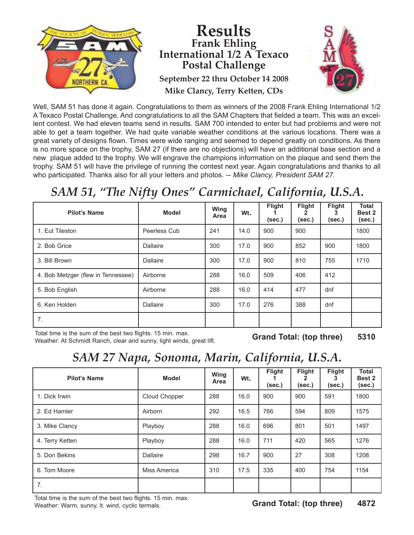

#### **Results Frank Ehling International 1/2 A Texaco Postal Challenge**

**September 22 thru October 14 2008 Mike Clancy, Terry Ketten, CDs**



Well, SAM 51 has done it again. Congratulations to them as winners of the 2008 Frank Ehling International 1/2 A Texaco Postal Challenge. And congratulations to all the SAM Chapters that fielded a team. This was an excellent contest. We had eleven teams send in results. SAM 700 intended to enter but had problems and were not able to get a team together. We had quite variable weather conditions at the various locations. There was a great variety of designs flown. Times were wide ranging and seemed to depend greatly on conditions. As there is no more space on the trophy, SAM 27 (if there are no objections) will have an additional base section and a new plaque added to the trophy. We will engrave the champions information on the plaque and send them the trophy. SAM 51 will have the privilege of running the contest next year. Again congratulations and thanks to all who participated. Thanks also for all your letters and photos. -- *Mike Clancy, President SAM 27.*

# *SAM 51, "The Nifty Ones" Carmichael, California, U.S.A.*

| Pilot's Name                       | Model        | Wing<br>Area | Wt.  | <b>Flight</b><br>(sec.) | Flight<br>(sec.) | <b>Flight</b><br>(sec.) | <b>Total</b><br>Best 2<br>(sec.) |
|------------------------------------|--------------|--------------|------|-------------------------|------------------|-------------------------|----------------------------------|
| 1. Eut Tileston                    | Peerless Cub | 241          | 14.0 | 900                     | 900              |                         | 1800                             |
| 2. Bob Grice                       | Dallaire     | 300          | 17.0 | 900                     | 852              | 900                     | 1800                             |
| 3. Bill Brown                      | Dallaire     | 300          | 17.0 | 900                     | 810              | 755                     | 1710                             |
| 4. Bob Metzger (flew in Tennessee) | Airborne     | 288          | 16.0 | 509                     | 406              | 412                     |                                  |
| 5. Bob English                     | Airborne     | 288          | 16.0 | 414                     | 477              | dnf                     |                                  |
| 6. Ken Holden                      | Dallaire     | 300          | 17.0 | 276                     | 388              | dnf                     |                                  |
| 7.                                 |              |              |      |                         |                  |                         |                                  |

Total time is the sum of the best two flights. 15 min. max.

Weather: At Schmidt Ranch, clear and sunny, light winds, great lift.

**Grand Total: (top three) 5310**

### *SAM 27 Napa, Sonoma, Marin, California, U.S.A.*

| <b>Pilot's Name</b> | <b>Model</b>  | Wing<br>Area | Wt.  | <b>Flight</b><br>(sec.) | Flight<br>(sec.) | Flight<br>(sec.) | <b>Total</b><br>Best 2<br>(sec.) |
|---------------------|---------------|--------------|------|-------------------------|------------------|------------------|----------------------------------|
| 1. Dick Irwin       | Cloud Chopper | 288          | 16.0 | 900                     | 900              | 591              | 1800                             |
| 2. Ed Hamler        | Airborn       | 292          | 16.5 | 766                     | 594              | 809              | 1575                             |
| 3. Mike Clancy      | Playboy       | 288          | 16.0 | 696                     | 801              | 501              | 1497                             |
| 4. Terry Ketten     | Playboy       | 288          | 16.0 | 711                     | 420              | 565              | 1276                             |
| 5. Don Bekins       | Dallaire      | 298          | 16.7 | 900                     | 27               | 308              | 1208                             |
| 6. Tom Moore        | Miss America  | 310          | 17.5 | 335                     | 400              | 754              | 1154                             |
| 7.                  |               |              |      |                         |                  |                  |                                  |

Total time is the sum of the best two flights. 15 min. max. Weather: Warm, sunny, lt. wind, cyclic termals.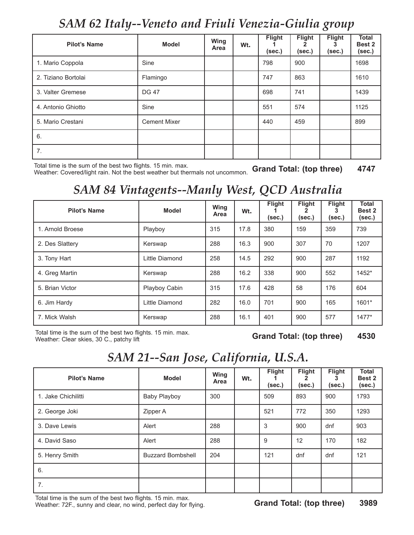## *SAM 62 Italy--Veneto and Friuli Venezia-Giulia group*

| <b>Pilot's Name</b> | <b>Model</b>        | Wing<br>Area | Wt. | <b>Flight</b><br>(sec.) | Flight<br>(sec.) | <b>Flight</b><br>(sec.) | <b>Total</b><br>Best 2<br>(sec.) |
|---------------------|---------------------|--------------|-----|-------------------------|------------------|-------------------------|----------------------------------|
| 1. Mario Coppola    | Sine                |              |     | 798                     | 900              |                         | 1698                             |
| 2. Tiziano Bortolai | Flamingo            |              |     | 747                     | 863              |                         | 1610                             |
| 3. Valter Gremese   | <b>DG 47</b>        |              |     | 698                     | 741              |                         | 1439                             |
| 4. Antonio Ghiotto  | Sine                |              |     | 551                     | 574              |                         | 1125                             |
| 5. Mario Crestani   | <b>Cement Mixer</b> |              |     | 440                     | 459              |                         | 899                              |
| 6.                  |                     |              |     |                         |                  |                         |                                  |
| 7.                  |                     |              |     |                         |                  |                         |                                  |

Total time is the sum of the best two flights. 15 min. max.

10tal time is the sum of the best two flights. 15 mln. max.<br>Weather: Covered/light rain. Not the best weather but thermals not uncommon. **Grand Total: (top three) 4747** 

# *SAM 84 Vintagents--Manly West, QCD Australia*

| <b>Pilot's Name</b> | <b>Model</b>   | Wing<br>Area | Wt.  | <b>Flight</b><br>(sec.) | Flight<br>2<br>(sec.) | <b>Flight</b><br>(sec.) | <b>Total</b><br>Best 2<br>(sec.) |
|---------------------|----------------|--------------|------|-------------------------|-----------------------|-------------------------|----------------------------------|
| 1. Arnold Broese    | Playboy        | 315          | 17.8 | 380                     | 159                   | 359                     | 739                              |
| 2. Des Slattery     | Kerswap        | 288          | 16.3 | 900                     | 307                   | 70                      | 1207                             |
| 3. Tony Hart        | Little Diamond | 258          | 14.5 | 292                     | 900                   | 287                     | 1192                             |
| 4. Greg Martin      | Kerswap        | 288          | 16.2 | 338                     | 900                   | 552                     | 1452*                            |
| 5. Brian Victor     | Playboy Cabin  | 315          | 17.6 | 428                     | 58                    | 176                     | 604                              |
| 6. Jim Hardy        | Little Diamond | 282          | 16.0 | 701                     | 900                   | 165                     | 1601*                            |
| 7. Mick Walsh       | Kerswap        | 288          | 16.1 | 401                     | 900                   | 577                     | $1477*$                          |

Total time is the sum of the best two flights. 15 min. max. Weather: Clear skies, 30 C., patchy lift

**Grand Total: (top three) 4530**

# *SAM 21--San Jose, California, U.S.A.*

| <b>Pilot's Name</b> | <b>Model</b>             | Wing<br>Area | Wt. | <b>Flight</b><br>(sec.) | <b>Flight</b><br>(sec.) | Flight<br>(sec.) | <b>Total</b><br>Best 2<br>(sec.) |
|---------------------|--------------------------|--------------|-----|-------------------------|-------------------------|------------------|----------------------------------|
| 1. Jake Chichilitti | <b>Baby Playboy</b>      | 300          |     | 509                     | 893                     | 900              | 1793                             |
| 2. George Joki      | Zipper A                 |              |     | 521                     | 772                     | 350              | 1293                             |
| 3. Dave Lewis       | Alert                    | 288          |     | 3                       | 900                     | dnf              | 903                              |
| 4. David Saso       | Alert                    | 288          |     | 9                       | 12                      | 170              | 182                              |
| 5. Henry Smith      | <b>Buzzard Bombshell</b> | 204          |     | 121                     | dnf                     | dnf              | 121                              |
| 6.                  |                          |              |     |                         |                         |                  |                                  |
| 7.                  |                          |              |     |                         |                         |                  |                                  |

Total time is the sum of the best two flights. 15 min. max. Weather: 72F., sunny and clear, no wind, perfect day for flying.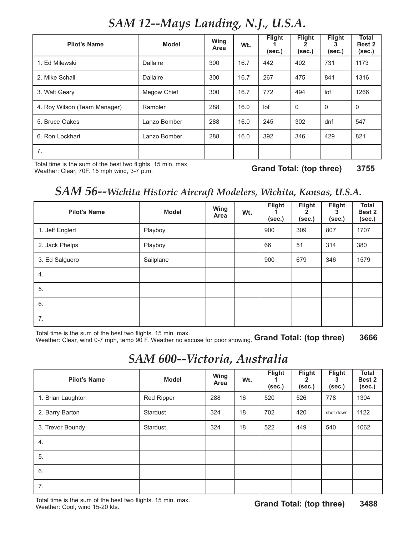### *SAM 12--Mays Landing, N.J., U.S.A.*

| Pilot's Name                 | <b>Model</b> | Wing<br>Area | Wt.  | <b>Flight</b><br>(sec.) | Flight<br>(sec.) | Flight<br>(sec.) | <b>Total</b><br>Best 2<br>(sec.) |
|------------------------------|--------------|--------------|------|-------------------------|------------------|------------------|----------------------------------|
| 1. Ed Milewski               | Dallaire     | 300          | 16.7 | 442                     | 402              | 731              | 1173                             |
| 2. Mike Schall               | Dallaire     | 300          | 16.7 | 267                     | 475              | 841              | 1316                             |
| 3. Walt Geary                | Megow Chief  | 300          | 16.7 | 772                     | 494              | lof              | 1266                             |
| 4. Roy Wilson (Team Manager) | Rambler      | 288          | 16.0 | lof                     | $\mathbf 0$      | 0                | 0                                |
| 5. Bruce Oakes               | Lanzo Bomber | 288          | 16.0 | 245                     | 302              | dnf              | 547                              |
| 6. Ron Lockhart              | Lanzo Bomber | 288          | 16.0 | 392                     | 346              | 429              | 821                              |
| 7.                           |              |              |      |                         |                  |                  |                                  |

Total time is the sum of the best two flights. 15 min. max. Weather: Clear, 70F. 15 mph wind, 3-7 p.m.

**Grand Total: (top three) 3755**

### *SAM 56--Wichita Historic Aircraft Modelers, Wichita, Kansas, U.S.A.*

| <b>Pilot's Name</b> | <b>Model</b> | Wing<br>Area | Wt. | <b>Flight</b><br>(sec.) | <b>Flight</b><br>2<br>(sec.) | <b>Flight</b><br>3<br>(sec.) | <b>Total</b><br>Best 2<br>(sec.) |
|---------------------|--------------|--------------|-----|-------------------------|------------------------------|------------------------------|----------------------------------|
| 1. Jeff Englert     | Playboy      |              |     | 900                     | 309                          | 807                          | 1707                             |
| 2. Jack Phelps      | Playboy      |              |     | 66                      | 51                           | 314                          | 380                              |
| 3. Ed Salguero      | Sailplane    |              |     | 900                     | 679                          | 346                          | 1579                             |
| 4.                  |              |              |     |                         |                              |                              |                                  |
| 5.                  |              |              |     |                         |                              |                              |                                  |
| 6.                  |              |              |     |                         |                              |                              |                                  |
| 7.                  |              |              |     |                         |                              |                              |                                  |

Total time is the sum of the best two flights. 15 min. max.

Weather: Clear, wind 0-7 mph, temp 90 F. Weather no excuse for poor showing. **Grand Total: (top three) 3666**

#### *SAM 600--Victoria, Australia*

| <b>Pilot's Name</b> | <b>Model</b> | <b>Wing</b><br>Area | Wt. | <b>Flight</b><br>(sec.) | <b>Flight</b><br>2<br>(sec.) | <b>Flight</b><br>(sec.) | <b>Total</b><br>Best 2<br>(sec.) |
|---------------------|--------------|---------------------|-----|-------------------------|------------------------------|-------------------------|----------------------------------|
| 1. Brian Laughton   | Red Ripper   | 288                 | 16  | 520                     | 526                          | 778                     | 1304                             |
| 2. Barry Barton     | Stardust     | 324                 | 18  | 702                     | 420                          | shot down               | 1122                             |
| 3. Trevor Boundy    | Stardust     | 324                 | 18  | 522                     | 449                          | 540                     | 1062                             |
| 4.                  |              |                     |     |                         |                              |                         |                                  |
| 5.                  |              |                     |     |                         |                              |                         |                                  |
| 6.                  |              |                     |     |                         |                              |                         |                                  |
| 7.                  |              |                     |     |                         |                              |                         |                                  |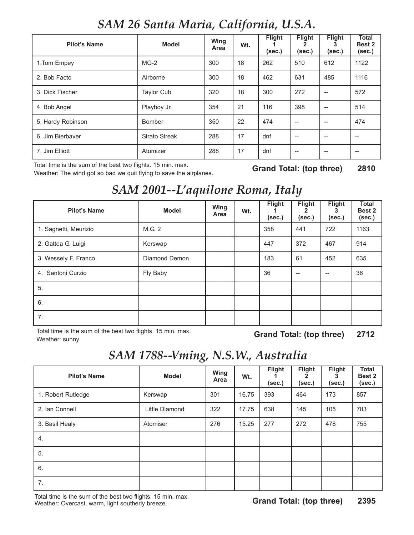### *SAM 26 Santa Maria, California, U.S.A.*

| <b>Pilot's Name</b> | <b>Model</b>         | Wing<br>Area | Wt. | <b>Flight</b><br>(sec.) | <b>Flight</b><br>(sec.) | <b>Flight</b><br>(sec.) | <b>Total</b><br>Best 2<br>(sec.) |
|---------------------|----------------------|--------------|-----|-------------------------|-------------------------|-------------------------|----------------------------------|
| 1. Tom Empey        | $MG-2$               | 300          | 18  | 262                     | 510                     | 612                     | 1122                             |
| 2. Bob Facto        | Airborne             | 300          | 18  | 462                     | 631                     | 485                     | 1116                             |
| 3. Dick Fischer     | <b>Taylor Cub</b>    | 320          | 18  | 300                     | 272                     | $-$                     | 572                              |
| 4. Bob Angel        | Playboy Jr.          | 354          | 21  | 116                     | 398                     | $-$                     | 514                              |
| 5. Hardy Robinson   | <b>Bomber</b>        | 350          | 22  | 474                     | $-$                     | $-$                     | 474                              |
| 6. Jim Bierbaver    | <b>Strato Streak</b> | 288          | 17  | dnf                     | $-$                     | --                      | $-$                              |
| 7. Jim Elliott      | Atomizer             | 288          | 17  | dnf                     | $-$                     | $-$                     | $- -$                            |

Total time is the sum of the best two flights. 15 min. max.

Weather: The wind got so bad we quit flying to save the airplanes.

**Grand Total: (top three) 2810**

# *SAM 2001--L'aquilone Roma, Italy*

| <b>Pilot's Name</b>   | <b>Model</b>  | <b>Wing</b><br>Area | Wt. | <b>Flight</b><br>(sec.) | Flight<br>2<br>(sec.) | <b>Flight</b><br>(sec.) | <b>Total</b><br>Best 2<br>(sec.) |
|-----------------------|---------------|---------------------|-----|-------------------------|-----------------------|-------------------------|----------------------------------|
| 1. Sagnetti, Meurizio | M.G. 2        |                     |     | 358                     | 441                   | 722                     | 1163                             |
| 2. Gattea G. Luigi    | Kerswap       |                     |     | 447                     | 372                   | 467                     | 914                              |
| 3. Wessely F. Franco  | Diamond Demon |                     |     | 183                     | 61                    | 452                     | 635                              |
| 4. Santoni Curzio     | Fly Baby      |                     |     | 36                      | $-$                   | $-$                     | 36                               |
| 5.                    |               |                     |     |                         |                       |                         |                                  |
| 6.                    |               |                     |     |                         |                       |                         |                                  |
| 7.                    |               |                     |     |                         |                       |                         |                                  |

Total time is the sum of the best two flights. 15 min. max. Weather: sunny

**Grand Total: (top three) 2712**

# *SAM 1788--Vming, N.S.W., Australia*

| <b>Pilot's Name</b> | <b>Model</b>   | Wing<br>Area | Wt.   | <b>Flight</b><br>(sec.) | <b>Flight</b><br>2<br>(sec.) | <b>Flight</b><br>(sec.) | <b>Total</b><br>Best 2<br>(sec.) |
|---------------------|----------------|--------------|-------|-------------------------|------------------------------|-------------------------|----------------------------------|
| 1. Robert Rutledge  | Kerswap        | 301          | 16.75 | 393                     | 464                          | 173                     | 857                              |
| 2. Ian Connell      | Little Diamond | 322          | 17.75 | 638                     | 145                          | 105                     | 783                              |
| 3. Basil Healy      | Atomiser       | 276          | 15.25 | 277                     | 272                          | 478                     | 755                              |
| 4.                  |                |              |       |                         |                              |                         |                                  |
| 5.                  |                |              |       |                         |                              |                         |                                  |
| 6.                  |                |              |       |                         |                              |                         |                                  |
| 7.                  |                |              |       |                         |                              |                         |                                  |

Total time is the sum of the best two flights. 15 min. max. Weather: Overcast, warm, light southerly breeze.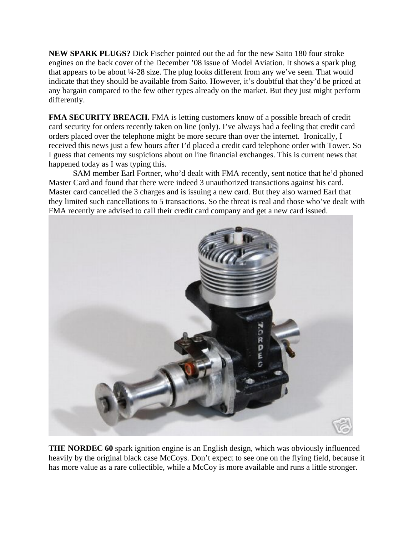**NEW SPARK PLUGS?** Dick Fischer pointed out the ad for the new Saito 180 four stroke engines on the back cover of the December '08 issue of Model Aviation. It shows a spark plug that appears to be about ¼-28 size. The plug looks different from any we've seen. That would indicate that they should be available from Saito. However, it's doubtful that they'd be priced at any bargain compared to the few other types already on the market. But they just might perform differently.

**FMA SECURITY BREACH.** FMA is letting customers know of a possible breach of credit card security for orders recently taken on line (only). I've always had a feeling that credit card orders placed over the telephone might be more secure than over the internet. Ironically, I received this news just a few hours after I'd placed a credit card telephone order with Tower. So I guess that cements my suspicions about on line financial exchanges. This is current news that happened today as I was typing this.

SAM member Earl Fortner, who'd dealt with FMA recently, sent notice that he'd phoned Master Card and found that there were indeed 3 unauthorized transactions against his card. Master card cancelled the 3 charges and is issuing a new card. But they also warned Earl that they limited such cancellations to 5 transactions. So the threat is real and those who've dealt with FMA recently are advised to call their credit card company and get a new card issued.



**THE NORDEC 60** spark ignition engine is an English design, which was obviously influenced heavily by the original black case McCoys. Don't expect to see one on the flying field, because it has more value as a rare collectible, while a McCoy is more available and runs a little stronger.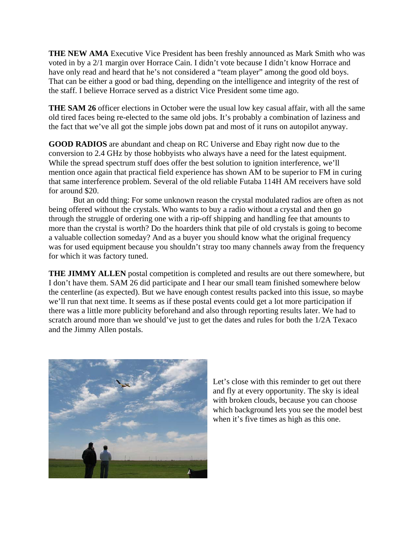**THE NEW AMA** Executive Vice President has been freshly announced as Mark Smith who was voted in by a 2/1 margin over Horrace Cain. I didn't vote because I didn't know Horrace and have only read and heard that he's not considered a "team player" among the good old boys. That can be either a good or bad thing, depending on the intelligence and integrity of the rest of the staff. I believe Horrace served as a district Vice President some time ago.

**THE SAM 26** officer elections in October were the usual low key casual affair, with all the same old tired faces being re-elected to the same old jobs. It's probably a combination of laziness and the fact that we've all got the simple jobs down pat and most of it runs on autopilot anyway.

**GOOD RADIOS** are abundant and cheap on RC Universe and Ebay right now due to the conversion to 2.4 GHz by those hobbyists who always have a need for the latest equipment. While the spread spectrum stuff does offer the best solution to ignition interference, we'll mention once again that practical field experience has shown AM to be superior to FM in curing that same interference problem. Several of the old reliable Futaba 114H AM receivers have sold for around \$20.

 But an odd thing: For some unknown reason the crystal modulated radios are often as not being offered without the crystals. Who wants to buy a radio without a crystal and then go through the struggle of ordering one with a rip-off shipping and handling fee that amounts to more than the crystal is worth? Do the hoarders think that pile of old crystals is going to become a valuable collection someday? And as a buyer you should know what the original frequency was for used equipment because you shouldn't stray too many channels away from the frequency for which it was factory tuned.

**THE JIMMY ALLEN** postal competition is completed and results are out there somewhere, but I don't have them. SAM 26 did participate and I hear our small team finished somewhere below the centerline (as expected). But we have enough contest results packed into this issue, so maybe we'll run that next time. It seems as if these postal events could get a lot more participation if there was a little more publicity beforehand and also through reporting results later. We had to scratch around more than we should've just to get the dates and rules for both the 1/2A Texaco and the Jimmy Allen postals.



Let's close with this reminder to get out there and fly at every opportunity. The sky is ideal with broken clouds, because you can choose which background lets you see the model best when it's five times as high as this one.